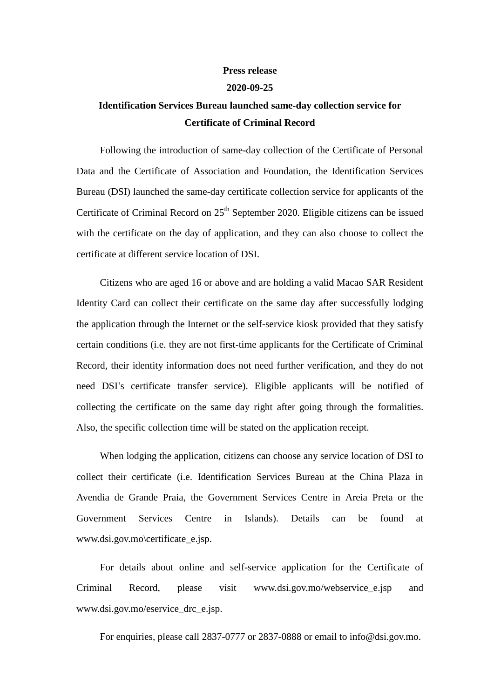## **Press release**

## **2020-09-25**

## **Identification Services Bureau launched same-day collection service for Certificate of Criminal Record**

Following the introduction of same-day collection of the Certificate of Personal Data and the Certificate of Association and Foundation, the Identification Services Bureau (DSI) launched the same-day certificate collection service for applicants of the Certificate of Criminal Record on  $25<sup>th</sup>$  September 2020. Eligible citizens can be issued with the certificate on the day of application, and they can also choose to collect the certificate at different service location of DSI.

Citizens who are aged 16 or above and are holding a valid Macao SAR Resident Identity Card can collect their certificate on the same day after successfully lodging the application through the Internet or the self-service kiosk provided that they satisfy certain conditions (i.e. they are not first-time applicants for the Certificate of Criminal Record, their identity information does not need further verification, and they do not need DSI's certificate transfer service). Eligible applicants will be notified of collecting the certificate on the same day right after going through the formalities. Also, the specific collection time will be stated on the application receipt.

When lodging the application, citizens can choose any service location of DSI to collect their certificate (i.e. Identification Services Bureau at the China Plaza in Avendia de Grande Praia, the Government Services Centre in Areia Preta or the Government Services Centre in Islands). Details can be found at www.dsi.gov.mo\certificate\_e.jsp.

For details about online and self-service application for the Certificate of Criminal Record, please visit www.dsi.gov.mo/webservice\_e.jsp and www.dsi.gov.mo/eservice\_drc\_e.jsp.

For enquiries, please call 2837-0777 or 2837-0888 or email to info@dsi.gov.mo.